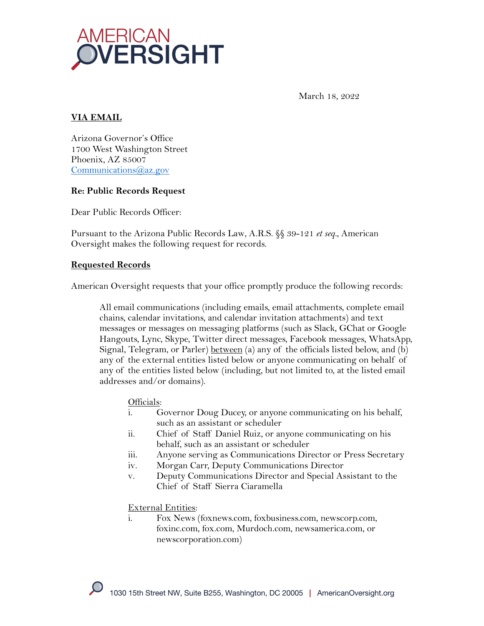

March 18, 2022

### **VIA EMAIL**

Arizona Governor's Office 1700 West Washington Street Phoenix, AZ 85007 Communications@az.gov

### **Re: Public Records Request**

Dear Public Records Officer:

Pursuant to the Arizona Public Records Law, A.R.S. §§ 39-121 *et seq.*, American Oversight makes the following request for records.

#### **Requested Records**

American Oversight requests that your office promptly produce the following records:

All email communications (including emails, email attachments, complete email chains, calendar invitations, and calendar invitation attachments) and text messages or messages on messaging platforms (such as Slack, GChat or Google Hangouts, Lync, Skype, Twitter direct messages, Facebook messages, WhatsApp, Signal, Telegram, or Parler)  $\underline{between}$  (a) any of the officials listed below, and (b) any of the external entities listed below or anyone communicating on behalf of any of the entities listed below (including, but not limited to, at the listed email addresses and/or domains).

#### Officials:

- i. Governor Doug Ducey, or anyone communicating on his behalf, such as an assistant or scheduler
- ii. Chief of Staff Daniel Ruiz, or anyone communicating on his behalf, such as an assistant or scheduler
- iii. Anyone serving as Communications Director or Press Secretary
- iv. Morgan Carr, Deputy Communications Director
- v. Deputy Communications Director and Special Assistant to the Chief of Staff Sierra Ciaramella

#### External Entities:

i. Fox News (foxnews.com, foxbusiness.com, newscorp.com, foxinc.com, fox.com, Murdoch.com, newsamerica.com, or newscorporation.com)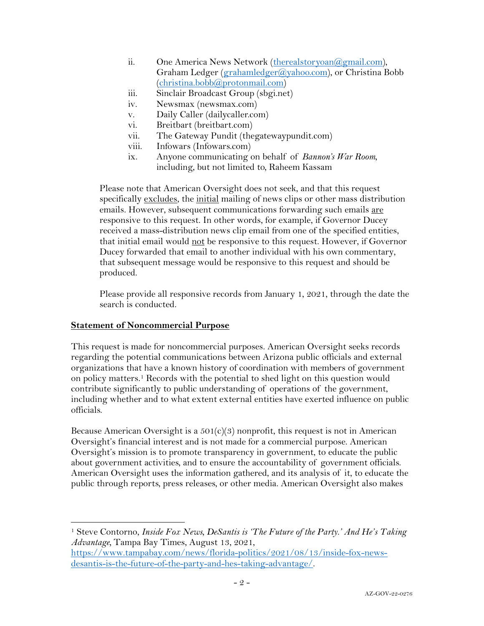- ii. One America News Network (therealstoryoan@gmail.com), Graham Ledger (grahamledger@yahoo.com), or Christina Bobb  $(christina.bobb@protonmail.com)$
- iii. Sinclair Broadcast Group (sbgi.net)
- iv. Newsmax (newsmax.com)
- v. Daily Caller (dailycaller.com)
- vi. Breitbart (breitbart.com)
- vii. The Gateway Pundit (thegatewaypundit.com)
- viii. Infowars (Infowars.com)
- ix. Anyone communicating on behalf of *Bannon's War Room,*  including, but not limited to, Raheem Kassam

Please note that American Oversight does not seek, and that this request specifically excludes, the initial mailing of news clips or other mass distribution emails. However, subsequent communications forwarding such emails are responsive to this request. In other words, for example, if Governor Ducey received a mass-distribution news clip email from one of the specified entities, that initial email would not be responsive to this request. However, if Governor Ducey forwarded that email to another individual with his own commentary, that subsequent message would be responsive to this request and should be produced.

Please provide all responsive records from January 1, 2021, through the date the search is conducted.

### **Statement of Noncommercial Purpose**

This request is made for noncommercial purposes. American Oversight seeks records regarding the potential communications between Arizona public officials and external organizations that have a known history of coordination with members of government on policy matters. <sup>1</sup> Records with the potential to shed light on this question would contribute significantly to public understanding of operations of the government, including whether and to what extent external entities have exerted influence on public officials.

Because American Oversight is a  $501(c)(3)$  nonprofit, this request is not in American Oversight's financial interest and is not made for a commercial purpose. American Oversight's mission is to promote transparency in government, to educate the public about government activities, and to ensure the accountability of government officials. American Oversight uses the information gathered, and its analysis of it, to educate the public through reports, press releases, or other media. American Oversight also makes

<sup>1</sup> Steve Contorno, *Inside Fox News, DeSantis is 'The Future of the Party.' And He's Taking Advantage,* Tampa Bay Times, August 13, 2021,

https://www.tampabay.com/news/florida-politics/2021/08/13/inside-fox-newsdesantis-is-the-future-of-the-party-and-hes-taking-advantage/.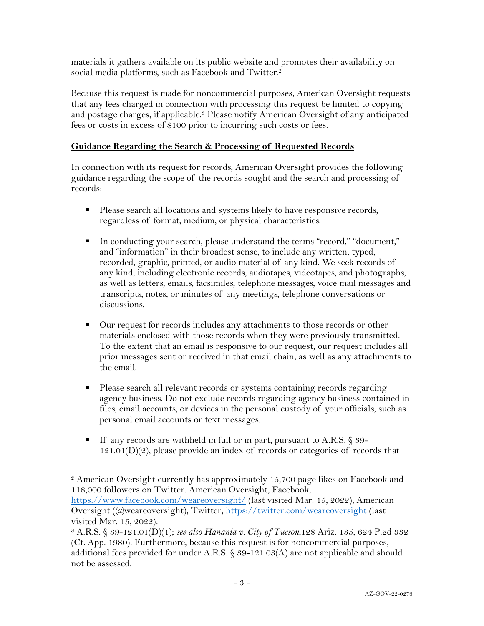materials it gathers available on its public website and promotes their availability on social media platforms, such as Facebook and Twitter.<sup>2</sup>

Because this request is made for noncommercial purposes, American Oversight requests that any fees charged in connection with processing this request be limited to copying and postage charges, if applicable.3 Please notify American Oversight of any anticipated fees or costs in excess of \$100 prior to incurring such costs or fees.

# **Guidance Regarding the Search & Processing of Requested Records**

In connection with its request for records, American Oversight provides the following guidance regarding the scope of the records sought and the search and processing of records:

- Please search all locations and systems likely to have responsive records, regardless of format, medium, or physical characteristics.
- § In conducting your search, please understand the terms "record," "document," and "information" in their broadest sense, to include any written, typed, recorded, graphic, printed, or audio material of any kind. We seek records of any kind, including electronic records, audiotapes, videotapes, and photographs, as well as letters, emails, facsimiles, telephone messages, voice mail messages and transcripts, notes, or minutes of any meetings, telephone conversations or discussions.
- Our request for records includes any attachments to those records or other materials enclosed with those records when they were previously transmitted. To the extent that an email is responsive to our request, our request includes all prior messages sent or received in that email chain, as well as any attachments to the email.
- § Please search all relevant records or systems containing records regarding agency business. Do not exclude records regarding agency business contained in files, email accounts, or devices in the personal custody of your officials, such as personal email accounts or text messages.
- If any records are withheld in full or in part, pursuant to A.R.S. § 39- $121.01(D)(2)$ , please provide an index of records or categories of records that

<sup>2</sup> American Oversight currently has approximately 15,700 page likes on Facebook and 118,000 followers on Twitter. American Oversight, Facebook,

https://www.facebook.com/weareoversight/ (last visited Mar. 15, 2022); American Oversight (@weareoversight), Twitter, https://twitter.com/weareoversight (last visited Mar. 15, 2022).

<sup>3</sup> A.R.S. § 39-121.01(D)(1); *see also Hanania v. City of Tucson*,128 Ariz. 135, 624 P.2d 332 (Ct. App. 1980). Furthermore, because this request is for noncommercial purposes, additional fees provided for under A.R.S.  $\S 39-121.03(A)$  are not applicable and should not be assessed.